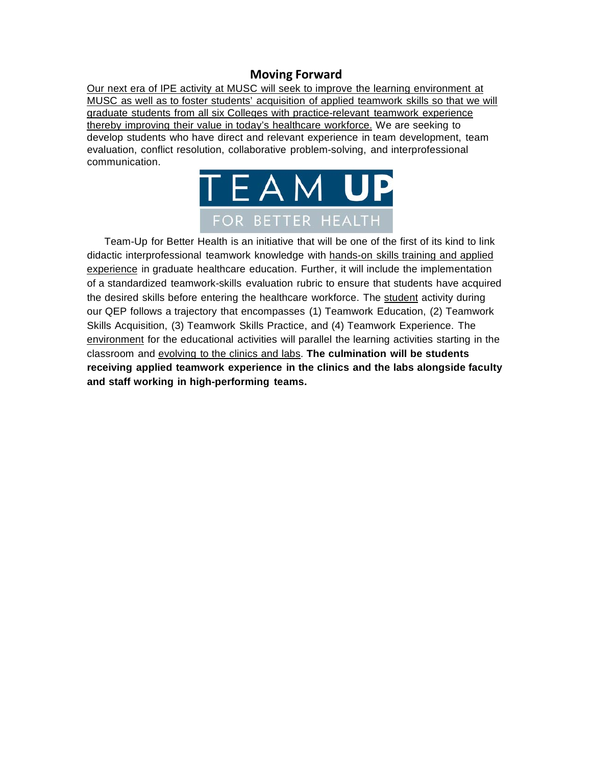## **Moving Forward**

Our next era of IPE activity at MUSC will seek to improve the learning environment at MUSC as well as to foster students' acquisition of applied teamwork skills so that we will graduate students from all six Colleges with practice-relevant teamwork experience thereby improving their value in today's healthcare workforce. We are seeking to develop students who have direct and relevant experience in team development, team evaluation, conflict resolution, collaborative problem-solving, and interprofessional communication.



Team-Up for Better Health is an initiative that will be one of the first of its kind to link didactic interprofessional teamwork knowledge with hands-on skills training and applied experience in graduate healthcare education. Further, it will include the implementation of a standardized teamwork-skills evaluation rubric to ensure that students have acquired the desired skills before entering the healthcare workforce. The student activity during our QEP follows a trajectory that encompasses (1) Teamwork Education, (2) Teamwork Skills Acquisition, (3) Teamwork Skills Practice, and (4) Teamwork Experience. The environment for the educational activities will parallel the learning activities starting in the classroom and evolving to the clinics and labs. **The culmination will be students receiving applied teamwork experience in the clinics and the labs alongside faculty and staff working in high-performing teams.**